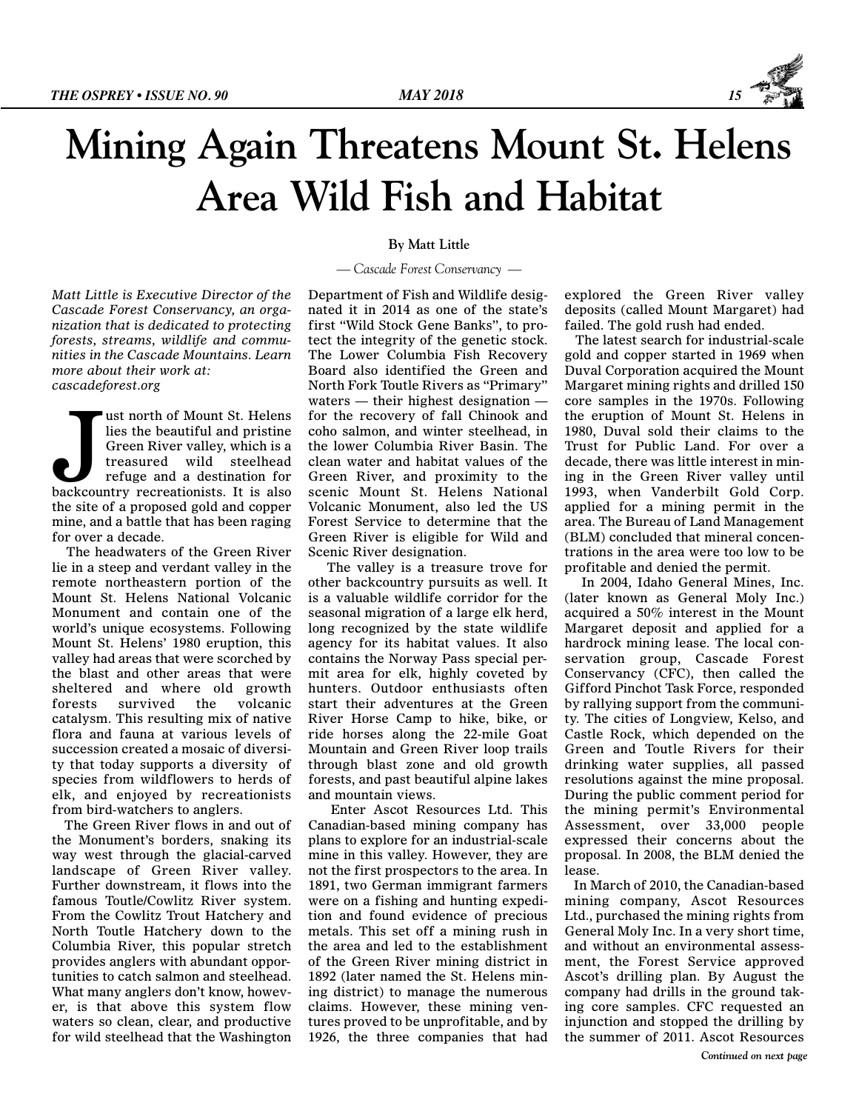

## **Mining Again Threatens Mount St. Helens Area Wild Fish and Habitat**

*Matt Little is Executive Director of the Cascade Forest Conservancy, an organization that is dedicated to protecting forests, streams, wildlife and communities in the Cascade Mountains. Learn more about their work at: cascadeforest.org*

US ust north of Mount St. Helens<br>lies the beautiful and pristine<br>Green River valley, which is a<br>treasured wild steelhead<br>refuge and a destination for<br>backcountry recreationists. It is also ust north of Mount St. Helens lies the beautiful and pristine Green River valley, which is a treasured wild steelhead refuge and a destination for the site of a proposed gold and copper mine, and a battle that has been raging for over a decade.

The headwaters of the Green River lie in a steep and verdant valley in the remote northeastern portion of the Mount St. Helens National Volcanic Monument and contain one of the world's unique ecosystems. Following Mount St. Helens' 1980 eruption, this valley had areas that were scorched by the blast and other areas that were sheltered and where old growth forests survived the volcanic catalysm. This resulting mix of native flora and fauna at various levels of succession created a mosaic of diversity that today supports a diversity of species from wildflowers to herds of elk, and enjoyed by recreationists from bird-watchers to anglers.

The Green River flows in and out of the Monument's borders, snaking its way west through the glacial-carved landscape of Green River valley. Further downstream, it flows into the famous Toutle/Cowlitz River system. From the Cowlitz Trout Hatchery and North Toutle Hatchery down to the Columbia River, this popular stretch provides anglers with abundant opportunities to catch salmon and steelhead. What many anglers don't know, however, is that above this system flow waters so clean, clear, and productive for wild steelhead that the Washington

## **By Matt Little**

## *— Cascade Forest Conservancy —*

Department of Fish and Wildlife designated it in 2014 as one of the state's first "Wild Stock Gene Banks", to protect the integrity of the genetic stock. The Lower Columbia Fish Recovery Board also identified the Green and North Fork Toutle Rivers as "Primary" waters — their highest designation for the recovery of fall Chinook and coho salmon, and winter steelhead, in the lower Columbia River Basin. The clean water and habitat values of the Green River, and proximity to the scenic Mount St. Helens National Volcanic Monument, also led the US Forest Service to determine that the Green River is eligible for Wild and Scenic River designation.

The valley is a treasure trove for other backcountry pursuits as well. It is a valuable wildlife corridor for the seasonal migration of a large elk herd, long recognized by the state wildlife agency for its habitat values. It also contains the Norway Pass special permit area for elk, highly coveted by hunters. Outdoor enthusiasts often start their adventures at the Green River Horse Camp to hike, bike, or ride horses along the 22-mile Goat Mountain and Green River loop trails through blast zone and old growth forests, and past beautiful alpine lakes and mountain views.

Enter Ascot Resources Ltd. This Canadian-based mining company has plans to explore for an industrial-scale mine in this valley. However, they are not the first prospectors to the area. In 1891, two German immigrant farmers were on a fishing and hunting expedition and found evidence of precious metals. This set off a mining rush in the area and led to the establishment of the Green River mining district in 1892 (later named the St. Helens mining district) to manage the numerous claims. However, these mining ventures proved to be unprofitable, and by 1926, the three companies that had explored the Green River valley deposits (called Mount Margaret) had failed. The gold rush had ended.

The latest search for industrial-scale gold and copper started in 1969 when Duval Corporation acquired the Mount Margaret mining rights and drilled 150 core samples in the 1970s. Following the eruption of Mount St. Helens in 1980, Duval sold their claims to the Trust for Public Land. For over a decade, there was little interest in mining in the Green River valley until 1993, when Vanderbilt Gold Corp. applied for a mining permit in the area. The Bureau of Land Management (BLM) concluded that mineral concentrations in the area were too low to be profitable and denied the permit.

In 2004, Idaho General Mines, Inc. (later known as General Moly Inc.) acquired a 50% interest in the Mount Margaret deposit and applied for a hardrock mining lease. The local conservation group, Cascade Forest Conservancy (CFC), then called the Gifford Pinchot Task Force, responded by rallying support from the community. The cities of Longview, Kelso, and Castle Rock, which depended on the Green and Toutle Rivers for their drinking water supplies, all passed resolutions against the mine proposal. During the public comment period for the mining permit's Environmental Assessment, over 33,000 people expressed their concerns about the proposal. In 2008, the BLM denied the lease.

In March of 2010, the Canadian-based mining company, Ascot Resources Ltd., purchased the mining rights from General Moly Inc. In a very short time, and without an environmental assessment, the Forest Service approved Ascot's drilling plan. By August the company had drills in the ground taking core samples. CFC requested an injunction and stopped the drilling by the summer of 2011. Ascot Resources